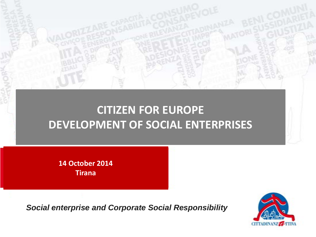# **CITIZEN FOR EUROPE DEVELOPMENT OF SOCIAL ENTERPRISES**

**14 October 2014 Tirana**

*Social enterprise and Corporate Social Responsibility*

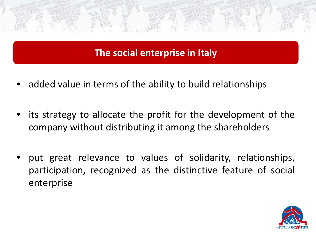### **The social enterprise in Italy**

- added value in terms of the ability to build relationships
- its strategy to allocate the profit for the development of the company without distributing it among the shareholders
- put great relevance to values of solidarity, relationships, participation, recognized as the distinctive feature of social enterprise

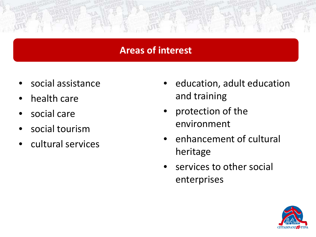#### **Areas of interest**

- social assistance
- health care
- social care
- social tourism
- cultural services
- education, adult education and training
- protection of the environment
- enhancement of cultural heritage
- services to other social enterprises

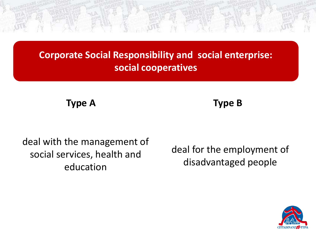**Corporate Social Responsibility and social enterprise: social cooperatives**

**Type A** 

**Type B** 

deal with the management of social services, health and education

deal for the employment of disadvantaged people

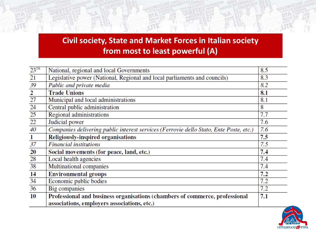#### **Civil society, State and Market Forces in Italian society from most to least powerful (A)**

| $23^{16}$                       | National, regional and local Governments                                               | 8.5 |
|---------------------------------|----------------------------------------------------------------------------------------|-----|
| 21                              | Legislative power (National, Regional and local parliaments and councils)              | 8.3 |
| $\frac{39}{2}$ $\frac{2}{27}$   | Public and private media                                                               | 8.2 |
|                                 | <b>Trade Unions</b>                                                                    | 8.1 |
|                                 | Municipal and local administrations                                                    | 8.1 |
|                                 | Central public administration                                                          | 8   |
| $\frac{24}{25}$ $\frac{25}{22}$ | Regional administrations                                                               | 7.7 |
|                                 | Judicial power                                                                         | 7.6 |
| 40                              | Companies delivering public interest services (Ferrovie dello Stato, Ente Poste, etc.) | 7.6 |
| $\mathbf{1}$                    | Religiously-inspired organisations                                                     | 7.5 |
| 37                              | <b>Financial institutions</b>                                                          | 7.5 |
| 20                              | Social movements (for peace, land, etc.)                                               | 7.4 |
| 28                              | Local health agencies                                                                  | 7.4 |
| 38                              | Multinational companies                                                                | 7.4 |
| 14                              | <b>Environmental groups</b>                                                            | 7.2 |
| 34                              | Economic public bodies                                                                 | 7.2 |
| 36                              | Big companies                                                                          | 7.2 |
| 10                              | Professional and business organisations (chambers of commerce, professional            | 7.1 |
|                                 | associations, employers associations, etc.)                                            |     |

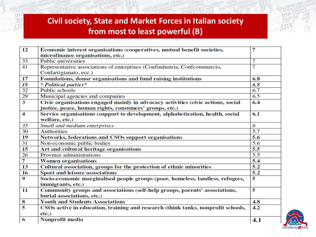#### **Civil society, State and Market Forces in Italian society from most to least powerful (B)**

| 12                      | Economic interest organisations (cooperatives, mutual benefit societies,         | 7              |
|-------------------------|----------------------------------------------------------------------------------|----------------|
|                         | microfinance organisations, etc.)                                                |                |
| 33                      | <b>Public universities</b>                                                       | 7              |
| 41                      | Representative associations of enterprises (Confindustria, Confcommercio,        | $\overline{7}$ |
|                         | Confartigianato, ecc.)                                                           |                |
| 17                      | Foundations, donor organisations and fund raising institutions                   | 6.8            |
| 18                      | * Political parties*                                                             | 6.8            |
| 32                      | Public schools                                                                   | 6.7            |
| 29                      | Municipal agencies and companies                                                 | 6.5            |
| $\overline{\mathbf{3}}$ | Civic organisations engaged mainly in advocacy activities (civic actions, social | 6.4            |
|                         | justice, peace, human rights, consumers' groups, etc.)                           |                |
| $\overline{4}$          | Service organisations (support to development, alphabetization, health, social   | 6.1            |
|                         | welfare, etc.)                                                                   |                |
| 35                      | Small and medium enterprises                                                     | 6              |
| 30                      | <b>Authorities</b>                                                               | 5.7            |
| 19                      | Networks, federations and CSOs support organisations                             | 5.6            |
| 31                      | Non-economic public bodies                                                       | 5.6            |
| 15                      | Art and cultural heritage organisations                                          | 5.5            |
| 26                      | Province administrations                                                         | 5.5            |
| $\overline{\tau}$       | <b>Women organisations</b>                                                       | 5.4            |
| 13                      | Cultural association, groups for the protection of ethnic minorities             | 5.2            |
| 16                      | Sport and leisure associations                                                   | 5.2            |
| 9                       | Socio-economic marginalised people groups (poor, homeless, landless, refugees,   | 5              |
|                         | immigrants, etc.)                                                                |                |
| 11                      | Community groups and associations (self-help groups, parents' associations,      | 5              |
|                         | burial associations, etc.)                                                       |                |
| $\frac{8}{5}$           | <b>Youth and Students Associations</b>                                           | 4.8            |
|                         | CSOs active in education, training and research (think tanks, nonprofit schools, | 4.2            |
|                         | $etc.$ )                                                                         |                |
| 6                       | Nonprofit media                                                                  | 4.1            |

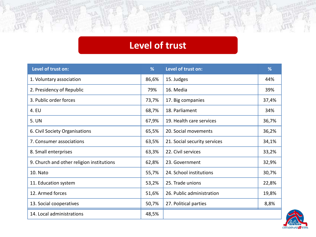## **Level of trust**

| Level of trust on:                        | %     | Level of trust on:           | %     |
|-------------------------------------------|-------|------------------------------|-------|
| 1. Voluntary association                  | 86,6% | 15. Judges                   | 44%   |
| 2. Presidency of Republic                 | 79%   | 16. Media                    | 39%   |
| 3. Public order forces                    | 73,7% | 17. Big companies            | 37,4% |
| 4. EU                                     | 68,7% | 18. Parliament               | 34%   |
| 5. UN                                     | 67,9% | 19. Health care services     | 36,7% |
| 6. Civil Society Organisations            | 65,5% | 20. Social movements         | 36,2% |
| 7. Consumer associations                  | 63,5% | 21. Social security services | 34,1% |
| 8. Small enterprises                      | 63,3% | 22. Civil services           | 33,2% |
| 9. Church and other religion institutions | 62,8% | 23. Government               | 32,9% |
| 10. Nato                                  | 55,7% | 24. School institutions      | 30,7% |
| 11. Education system                      | 53,2% | 25. Trade unions             | 22,8% |
| 12. Armed forces                          | 51,6% | 26. Public administration    | 19,8% |
| 13. Social cooperatives                   | 50,7% | 27. Political parties        | 8,8%  |
| 14. Local administrations                 | 48,5% |                              |       |

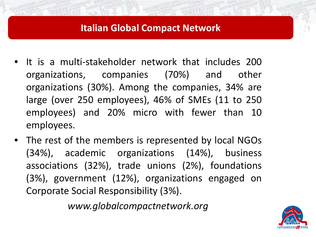#### **Italian Global Compact Network**

- It is a multi-stakeholder network that includes 200 organizations, companies (70%) and other organizations (30%). Among the companies, 34% are large (over 250 employees), 46% of SMEs (11 to 250 employees) and 20% micro with fewer than 10 employees.
- The rest of the members is represented by local NGOs (34%), academic organizations (14%), business associations (32%), trade unions (2%), foundations (3%), government (12%), organizations engaged on Corporate Social Responsibility (3%).

*www.globalcompactnetwork.org*

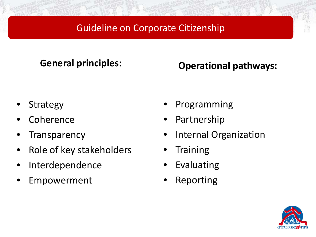### Guideline on Corporate Citizenship

**General principles: Operational pathways:** 

- **Strategy**
- **Coherence**
- **Transparency**
- Role of key stakeholders
- **Interdependence**
- **Empowerment**
- Programming
- **Partnership**
- Internal Organization
- **Training**
- **Evaluating**
- **Reporting**

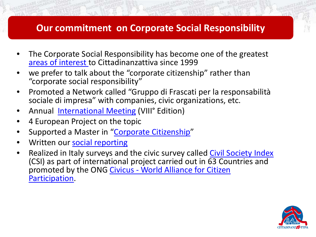#### **Our commitment on Corporate Social Responsibility**

- The Corporate Social Responsibility has become one of the greatest [areas of interest t](http://www.cittadinanzattiva.it/aree-di-interesse/attivismo-civico/199-cittadinanza-dimpresa.html)o Cittadinanzattiva since 1999
- we prefer to talk about the "corporate citizenship" rather than "corporate social responsibility"
- Promoted a Network called "Gruppo di Frascati per la responsabilità sociale di impresa" with companies, civic organizations, etc.
- Annual [International Meeting](http://www.cittadinanzattiva.it/progetti-e-campagne/attivismo-civico/cittadinanza-dimpresa/3053-seminario-internazionale-in-tema-di-csr.html) (VIII° Edition)
- 4 European Project on the topic
- Supported a Master in "[Corporate Citizenship"](http://www.fondaca.org/consulenza-e-formazione-avanzata/master-in-corporate-citizenship.html)
- Written our [social reporting](http://www.cittadinanzattiva.it/corporate/istituzionale/1909-bilancio-sociale.html)
- Realized in Italy surveys and the civic survey called [Civil Society Index](http://www.civicus.org/csi) (CSI) as part of international project carried out in 63 Countries and promoted by the ONG Civicus - [World Alliance for Citizen](http://www.civicus.org/)  [Participation](http://www.civicus.org/).